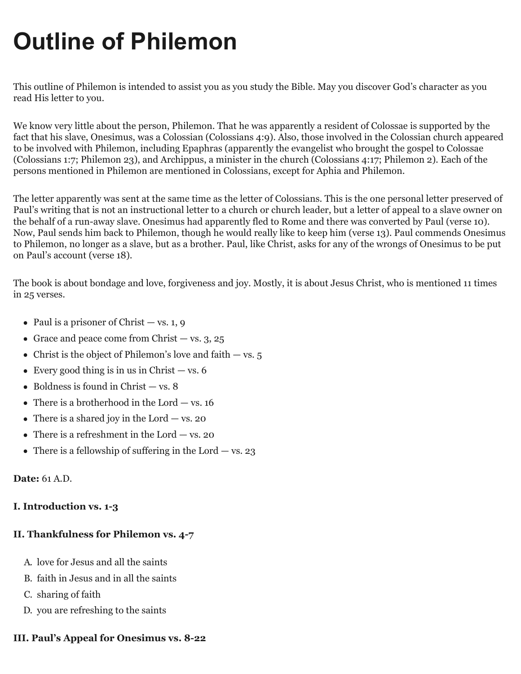# **Outline of Philemon**

This outline of Philemon is intended to assist you as you study the Bible. May you discover God's character as you read His letter to you.

We know very little about the person, Philemon. That he was apparently a resident of Colossae is supported by the fact that his slave, Onesimus, was a Colossian (Colossians 4:9). Also, those involved in the Colossian church appeared to be involved with Philemon, including Epaphras (apparently the evangelist who brought the gospel to Colossae (Colossians 1:7; Philemon 23), and Archippus, a minister in the church (Colossians 4:17; Philemon 2). Each of the persons mentioned in Philemon are mentioned in Colossians, except for Aphia and Philemon.

The letter apparently was sent at the same time as the letter of Colossians. This is the one personal letter preserved of Paul's writing that is not an instructional letter to a church or church leader, but a letter of appeal to a slave owner on the behalf of a run-away slave. Onesimus had apparently fled to Rome and there was converted by Paul (verse 10). Now, Paul sends him back to Philemon, though he would really like to keep him (verse 13). Paul commends Onesimus to Philemon, no longer as a slave, but as a brother. Paul, like Christ, asks for any of the wrongs of Onesimus to be put on Paul's account (verse 18).

The book is about bondage and love, forgiveness and joy. Mostly, it is about Jesus Christ, who is mentioned 11 times in 25 verses.

- Paul is a prisoner of Christ vs. 1, 9
- Grace and peace come from Christ  $-$  vs. 3, 25
- Christ is the object of Philemon's love and faith  $-$  vs. 5
- Every good thing is in us in Christ  $-$  vs. 6
- $\bullet$  Boldness is found in Christ  $-$  vs. 8
- There is a brotherhood in the Lord  $-$  vs. 16
- There is a shared joy in the Lord  $-$  vs. 20
- There is a refreshment in the Lord  $-$  vs. 20
- There is a fellowship of suffering in the Lord  $-$  vs. 23

#### **Date:** 61 A.D.

#### **I. Introduction vs. 1-3**

### **II. Thankfulness for Philemon vs. 4-7**

- A. love for Jesus and all the saints
- B. faith in Jesus and in all the saints
- C. sharing of faith
- D. you are refreshing to the saints

## **III. Paul's Appeal for Onesimus vs. 8-22**